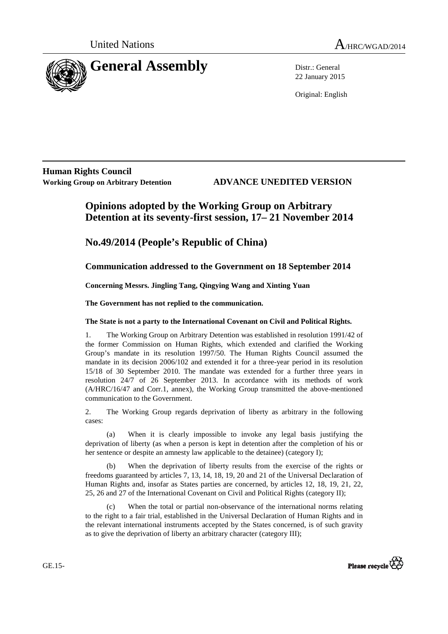

22 January 2015

Original: English

**Human Rights Council** 

**Working Group on Arbitrary Detention ADVANCE UNEDITED VERSION**

# **Opinions adopted by the Working Group on Arbitrary Detention at its seventy-first session, 17– 21 November 2014**

# **No.49/2014 (People's Republic of China)**

### **Communication addressed to the Government on 18 September 2014**

 **Concerning Messrs. Jingling Tang, Qingying Wang and Xinting Yuan** 

 **The Government has not replied to the communication.** 

### **The State is not a party to the International Covenant on Civil and Political Rights.**

1. The Working Group on Arbitrary Detention was established in resolution 1991/42 of the former Commission on Human Rights, which extended and clarified the Working Group's mandate in its resolution 1997/50. The Human Rights Council assumed the mandate in its decision 2006/102 and extended it for a three-year period in its resolution 15/18 of 30 September 2010. The mandate was extended for a further three years in resolution 24/7 of 26 September 2013. In accordance with its methods of work (A/HRC/16/47 and Corr.1, annex), the Working Group transmitted the above-mentioned communication to the Government.

2. The Working Group regards deprivation of liberty as arbitrary in the following cases:

(a) When it is clearly impossible to invoke any legal basis justifying the deprivation of liberty (as when a person is kept in detention after the completion of his or her sentence or despite an amnesty law applicable to the detainee) (category I);

(b) When the deprivation of liberty results from the exercise of the rights or freedoms guaranteed by articles 7, 13, 14, 18, 19, 20 and 21 of the Universal Declaration of Human Rights and, insofar as States parties are concerned, by articles 12, 18, 19, 21, 22, 25, 26 and 27 of the International Covenant on Civil and Political Rights (category II);

(c) When the total or partial non-observance of the international norms relating to the right to a fair trial, established in the Universal Declaration of Human Rights and in the relevant international instruments accepted by the States concerned, is of such gravity as to give the deprivation of liberty an arbitrary character (category III);



GE.15-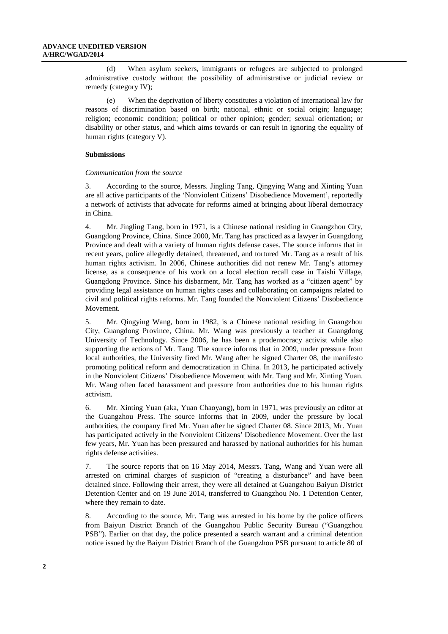(d) When asylum seekers, immigrants or refugees are subjected to prolonged administrative custody without the possibility of administrative or judicial review or remedy (category IV);

(e) When the deprivation of liberty constitutes a violation of international law for reasons of discrimination based on birth; national, ethnic or social origin; language; religion; economic condition; political or other opinion; gender; sexual orientation; or disability or other status, and which aims towards or can result in ignoring the equality of human rights (category V).

#### **Submissions**

#### *Communication from the source*

3. According to the source, Messrs. Jingling Tang, Qingying Wang and Xinting Yuan are all active participants of the 'Nonviolent Citizens' Disobedience Movement', reportedly a network of activists that advocate for reforms aimed at bringing about liberal democracy in China.

4. Mr. Jingling Tang, born in 1971, is a Chinese national residing in Guangzhou City, Guangdong Province, China. Since 2000, Mr. Tang has practiced as a lawyer in Guangdong Province and dealt with a variety of human rights defense cases. The source informs that in recent years, police allegedly detained, threatened, and tortured Mr. Tang as a result of his human rights activism. In 2006, Chinese authorities did not renew Mr. Tang's attorney license, as a consequence of his work on a local election recall case in Taishi Village, Guangdong Province. Since his disbarment, Mr. Tang has worked as a "citizen agent" by providing legal assistance on human rights cases and collaborating on campaigns related to civil and political rights reforms. Mr. Tang founded the Nonviolent Citizens' Disobedience Movement.

5. Mr. Qingying Wang, born in 1982, is a Chinese national residing in Guangzhou City, Guangdong Province, China. Mr. Wang was previously a teacher at Guangdong University of Technology. Since 2006, he has been a prodemocracy activist while also supporting the actions of Mr. Tang. The source informs that in 2009, under pressure from local authorities, the University fired Mr. Wang after he signed Charter 08, the manifesto promoting political reform and democratization in China. In 2013, he participated actively in the Nonviolent Citizens' Disobedience Movement with Mr. Tang and Mr. Xinting Yuan. Mr. Wang often faced harassment and pressure from authorities due to his human rights activism.

6. Mr. Xinting Yuan (aka, Yuan Chaoyang), born in 1971, was previously an editor at the Guangzhou Press. The source informs that in 2009, under the pressure by local authorities, the company fired Mr. Yuan after he signed Charter 08. Since 2013, Mr. Yuan has participated actively in the Nonviolent Citizens' Disobedience Movement. Over the last few years, Mr. Yuan has been pressured and harassed by national authorities for his human rights defense activities.

7. The source reports that on 16 May 2014, Messrs. Tang, Wang and Yuan were all arrested on criminal charges of suspicion of "creating a disturbance" and have been detained since. Following their arrest, they were all detained at Guangzhou Baiyun District Detention Center and on 19 June 2014, transferred to Guangzhou No. 1 Detention Center, where they remain to date.

8. According to the source, Mr. Tang was arrested in his home by the police officers from Baiyun District Branch of the Guangzhou Public Security Bureau ("Guangzhou PSB"). Earlier on that day, the police presented a search warrant and a criminal detention notice issued by the Baiyun District Branch of the Guangzhou PSB pursuant to article 80 of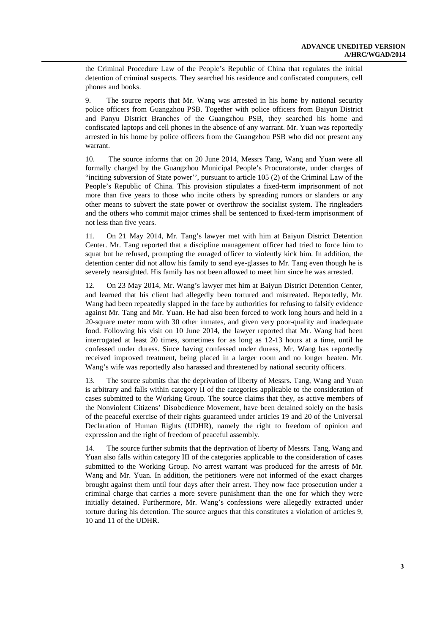the Criminal Procedure Law of the People's Republic of China that regulates the initial detention of criminal suspects. They searched his residence and confiscated computers, cell phones and books.

9. The source reports that Mr. Wang was arrested in his home by national security police officers from Guangzhou PSB. Together with police officers from Baiyun District and Panyu District Branches of the Guangzhou PSB, they searched his home and confiscated laptops and cell phones in the absence of any warrant. Mr. Yuan was reportedly arrested in his home by police officers from the Guangzhou PSB who did not present any warrant.

10. The source informs that on 20 June 2014, Messrs Tang, Wang and Yuan were all formally charged by the Guangzhou Municipal People's Procuratorate, under charges of "inciting subversion of State power'', pursuant to article 105 (2) of the Criminal Law of the People's Republic of China. This provision stipulates a fixed-term imprisonment of not more than five years to those who incite others by spreading rumors or slanders or any other means to subvert the state power or overthrow the socialist system. The ringleaders and the others who commit major crimes shall be sentenced to fixed-term imprisonment of not less than five years.

11. On 21 May 2014, Mr. Tang's lawyer met with him at Baiyun District Detention Center. Mr. Tang reported that a discipline management officer had tried to force him to squat but he refused, prompting the enraged officer to violently kick him. In addition, the detention center did not allow his family to send eye-glasses to Mr. Tang even though he is severely nearsighted. His family has not been allowed to meet him since he was arrested.

12. On 23 May 2014, Mr. Wang's lawyer met him at Baiyun District Detention Center, and learned that his client had allegedly been tortured and mistreated. Reportedly, Mr. Wang had been repeatedly slapped in the face by authorities for refusing to falsify evidence against Mr. Tang and Mr. Yuan. He had also been forced to work long hours and held in a 20-square meter room with 30 other inmates, and given very poor-quality and inadequate food. Following his visit on 10 June 2014, the lawyer reported that Mr. Wang had been interrogated at least 20 times, sometimes for as long as 12-13 hours at a time, until he confessed under duress. Since having confessed under duress, Mr. Wang has reportedly received improved treatment, being placed in a larger room and no longer beaten. Mr. Wang's wife was reportedly also harassed and threatened by national security officers.

13. The source submits that the deprivation of liberty of Messrs. Tang, Wang and Yuan is arbitrary and falls within category II of the categories applicable to the consideration of cases submitted to the Working Group. The source claims that they, as active members of the Nonviolent Citizens' Disobedience Movement, have been detained solely on the basis of the peaceful exercise of their rights guaranteed under articles 19 and 20 of the Universal Declaration of Human Rights (UDHR), namely the right to freedom of opinion and expression and the right of freedom of peaceful assembly.

14. The source further submits that the deprivation of liberty of Messrs. Tang, Wang and Yuan also falls within category III of the categories applicable to the consideration of cases submitted to the Working Group. No arrest warrant was produced for the arrests of Mr. Wang and Mr. Yuan. In addition, the petitioners were not informed of the exact charges brought against them until four days after their arrest. They now face prosecution under a criminal charge that carries a more severe punishment than the one for which they were initially detained. Furthermore, Mr. Wang's confessions were allegedly extracted under torture during his detention. The source argues that this constitutes a violation of articles 9, 10 and 11 of the UDHR.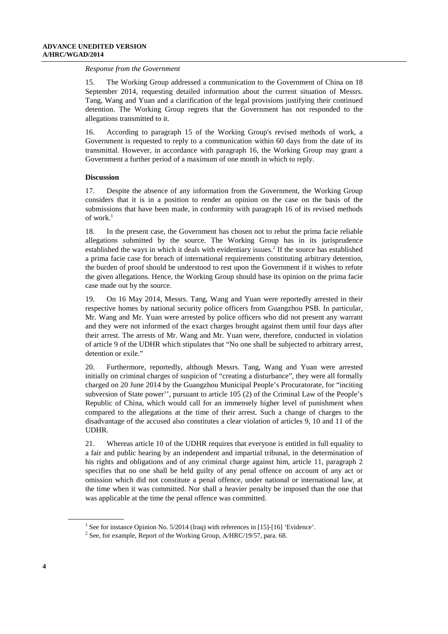#### *Response from the Government*

15. The Working Group addressed a communication to the Government of China on 18 September 2014, requesting detailed information about the current situation of Messrs. Tang, Wang and Yuan and a clarification of the legal provisions justifying their continued detention. The Working Group regrets that the Government has not responded to the allegations transmitted to it.

16. According to paragraph 15 of the Working Group's revised methods of work, a Government is requested to reply to a communication within 60 days from the date of its transmittal. However, in accordance with paragraph 16, the Working Group may grant a Government a further period of a maximum of one month in which to reply.

#### **Discussion**

17. Despite the absence of any information from the Government, the Working Group considers that it is in a position to render an opinion on the case on the basis of the submissions that have been made, in conformity with paragraph 16 of its revised methods of work. $^1$ 

18. In the present case, the Government has chosen not to rebut the prima facie reliable allegations submitted by the source. The Working Group has in its jurisprudence established the ways in which it deals with evidentiary issues.<sup>2</sup> If the source has established a prima facie case for breach of international requirements constituting arbitrary detention, the burden of proof should be understood to rest upon the Government if it wishes to refute the given allegations. Hence, the Working Group should base its opinion on the prima facie case made out by the source.

19. On 16 May 2014, Messrs. Tang, Wang and Yuan were reportedly arrested in their respective homes by national security police officers from Guangzhou PSB. In particular, Mr. Wang and Mr. Yuan were arrested by police officers who did not present any warrant and they were not informed of the exact charges brought against them until four days after their arrest. The arrests of Mr. Wang and Mr. Yuan were, therefore, conducted in violation of article 9 of the UDHR which stipulates that "No one shall be subjected to arbitrary arrest, detention or exile."

20. Furthermore, reportedly, although Messrs. Tang, Wang and Yuan were arrested initially on criminal charges of suspicion of "creating a disturbance", they were all formally charged on 20 June 2014 by the Guangzhou Municipal People's Procuratorate, for "inciting subversion of State power'', pursuant to article 105 (2) of the Criminal Law of the People's Republic of China, which would call for an immensely higher level of punishment when compared to the allegations at the time of their arrest. Such a change of charges to the disadvantage of the accused also constitutes a clear violation of articles 9, 10 and 11 of the UDHR.

21. Whereas article 10 of the UDHR requires that everyone is entitled in full equality to a fair and public hearing by an independent and impartial tribunal, in the determination of his rights and obligations and of any criminal charge against him, article 11, paragraph 2 specifies that no one shall be held guilty of any penal offence on account of any act or omission which did not constitute a penal offence, under national or international law, at the time when it was committed. Nor shall a heavier penalty be imposed than the one that was applicable at the time the penal offence was committed.

 $\overline{a}$ 

<sup>&</sup>lt;sup>1</sup> See for instance Opinion No.  $5/2014$  (Iraq) with references in [15]-[16] 'Evidence'.

<sup>&</sup>lt;sup>2</sup> See, for example, Report of the Working Group,  $A/HRC/19/57$ , para. 68.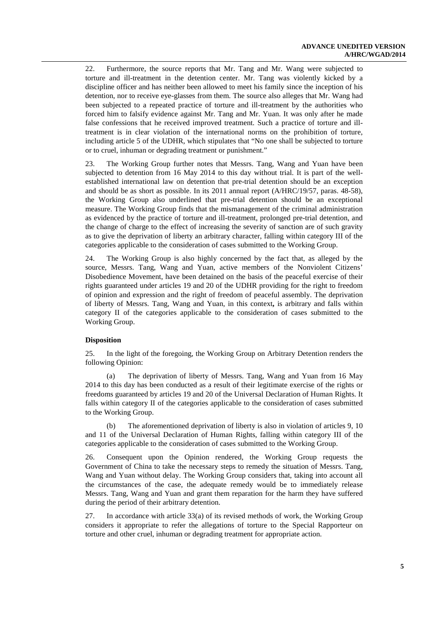22. Furthermore, the source reports that Mr. Tang and Mr. Wang were subjected to torture and ill-treatment in the detention center. Mr. Tang was violently kicked by a discipline officer and has neither been allowed to meet his family since the inception of his detention, nor to receive eye-glasses from them. The source also alleges that Mr. Wang had been subjected to a repeated practice of torture and ill-treatment by the authorities who forced him to falsify evidence against Mr. Tang and Mr. Yuan. It was only after he made false confessions that he received improved treatment. Such a practice of torture and illtreatment is in clear violation of the international norms on the prohibition of torture, including article 5 of the UDHR, which stipulates that "No one shall be subjected to torture or to cruel, inhuman or degrading treatment or punishment."

23. The Working Group further notes that Messrs. Tang, Wang and Yuan have been subjected to detention from 16 May 2014 to this day without trial. It is part of the wellestablished international law on detention that pre-trial detention should be an exception and should be as short as possible. In its 2011 annual report (A/HRC/19/57, paras. 48-58), the Working Group also underlined that pre-trial detention should be an exceptional measure. The Working Group finds that the mismanagement of the criminal administration as evidenced by the practice of torture and ill-treatment, prolonged pre-trial detention, and the change of charge to the effect of increasing the severity of sanction are of such gravity as to give the deprivation of liberty an arbitrary character, falling within category III of the categories applicable to the consideration of cases submitted to the Working Group.

24. The Working Group is also highly concerned by the fact that, as alleged by the source, Messrs. Tang, Wang and Yuan, active members of the Nonviolent Citizens' Disobedience Movement, have been detained on the basis of the peaceful exercise of their rights guaranteed under articles 19 and 20 of the UDHR providing for the right to freedom of opinion and expression and the right of freedom of peaceful assembly. The deprivation of liberty of Messrs. Tang, Wang and Yuan, in this context**,** is arbitrary and falls within category II of the categories applicable to the consideration of cases submitted to the Working Group.

#### **Disposition**

25. In the light of the foregoing, the Working Group on Arbitrary Detention renders the following Opinion:

(a) The deprivation of liberty of Messrs. Tang, Wang and Yuan from 16 May 2014 to this day has been conducted as a result of their legitimate exercise of the rights or freedoms guaranteed by articles 19 and 20 of the Universal Declaration of Human Rights. It falls within category II of the categories applicable to the consideration of cases submitted to the Working Group.

(b) The aforementioned deprivation of liberty is also in violation of articles 9, 10 and 11 of the Universal Declaration of Human Rights, falling within category III of the categories applicable to the consideration of cases submitted to the Working Group.

26. Consequent upon the Opinion rendered, the Working Group requests the Government of China to take the necessary steps to remedy the situation of Messrs. Tang, Wang and Yuan without delay. The Working Group considers that, taking into account all the circumstances of the case, the adequate remedy would be to immediately release Messrs. Tang, Wang and Yuan and grant them reparation for the harm they have suffered during the period of their arbitrary detention.

27. In accordance with article 33(a) of its revised methods of work, the Working Group considers it appropriate to refer the allegations of torture to the Special Rapporteur on torture and other cruel, inhuman or degrading treatment for appropriate action.